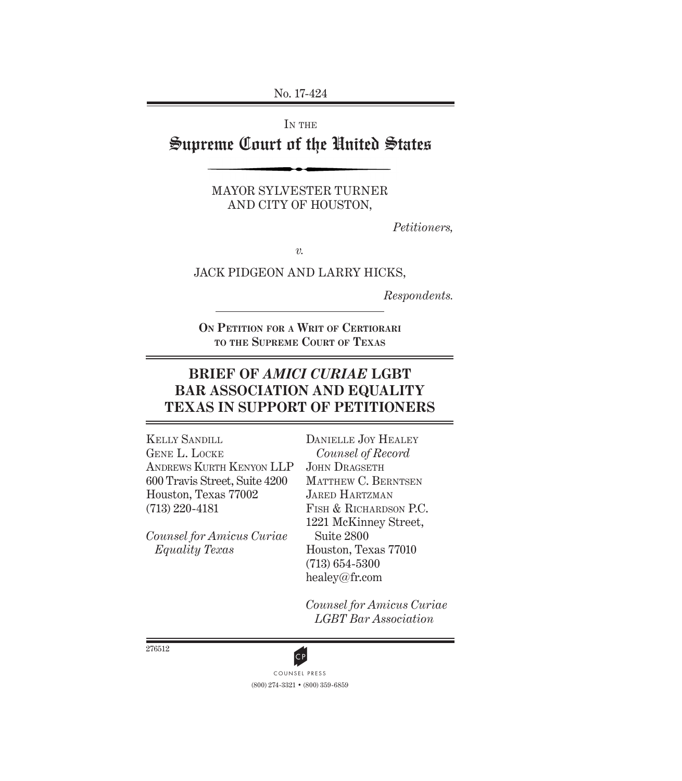No. 17-424

IN THE

# Supreme Court of the United States

MAYOR SYLVESTER TURNER AND CITY OF HOUSTON,

*Petitioners,*

*v.*

JACK PIDGEON AND LARRY HICKS,

*Respondents.*

**On Petition for a Writ of Certiorari to the Supreme Court of Texas**

# **BRIEF OF** *AMICI CURIAE* **LGBT BAR ASSOCIATION AND EQUALITY TEXAS IN SUPPORT OF PETITIONERS**

Kelly Sandill Gene L. Locke Andrews Kurth Kenyon LLP 600 Travis Street, Suite 4200 Houston, Texas 77002 (713) 220-4181

*Counsel for Amicus Curiae Equality Texas*

DANIELLE JOY HEALEY *Counsel of Record* JOHN DRAGSETH MATTHEW C. BERNTSEN Jared Hartzman Fish & Richardson P.C. 1221 McKinney Street, Suite 2800 Houston, Texas 77010 (713) 654-5300 healey@fr.com

*Counsel for Amicus Curiae LGBT Bar Association*

276512

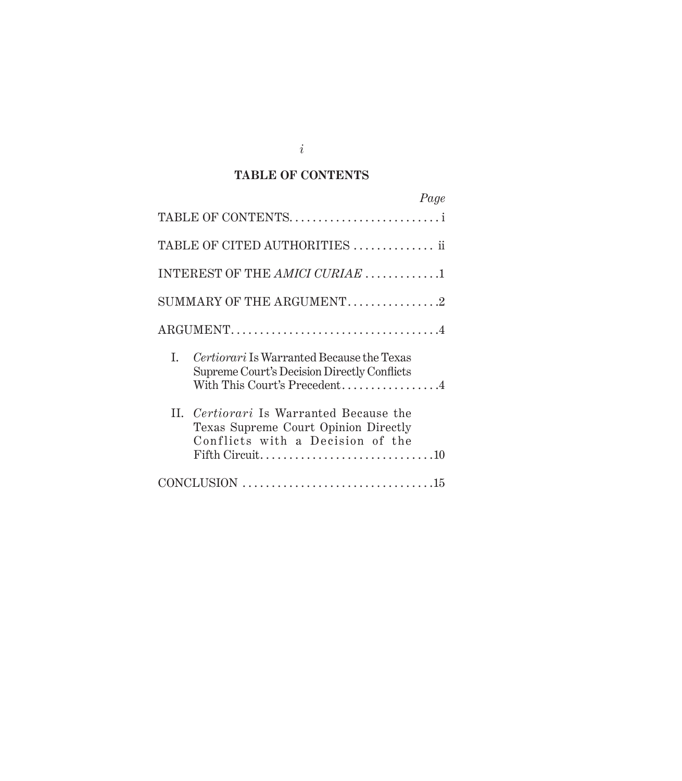## **TABLE OF CONTENTS**

| Page                                                                                                                           |
|--------------------------------------------------------------------------------------------------------------------------------|
| TABLE OF CONTENTS                                                                                                              |
| TABLE OF CITED AUTHORITIES  ii                                                                                                 |
| INTEREST OF THE AMICI CURIAE 1                                                                                                 |
| SUMMARY OF THE ARGUMENT. $\dots\dots\dots\dots2$                                                                               |
|                                                                                                                                |
| Certiorari Is Warranted Because the Texas<br>I.<br>Supreme Court's Decision Directly Conflicts<br>With This Court's Precedent4 |
| II. Certiorari Is Warranted Because the<br>Texas Supreme Court Opinion Directly<br>Conflicts with a Decision of the            |
|                                                                                                                                |

*i*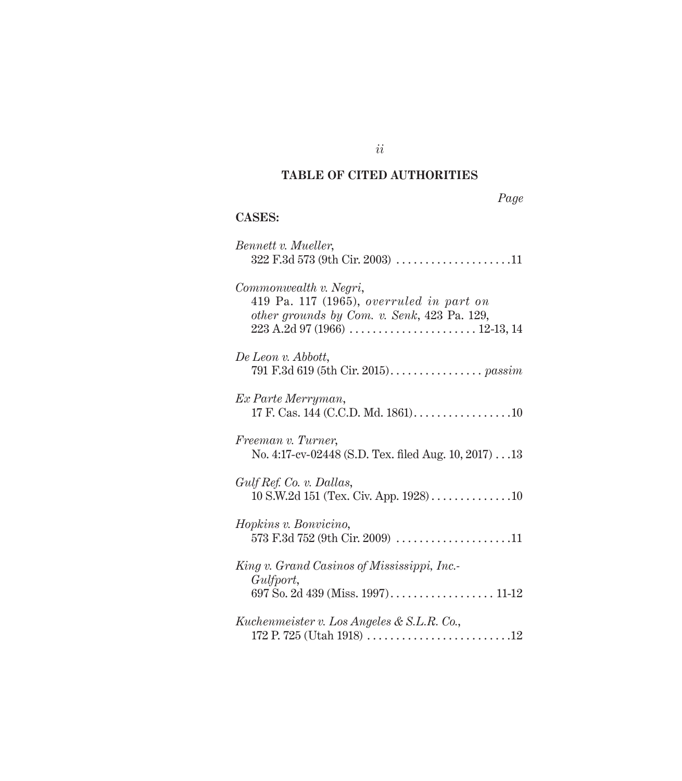## **TABLE OF CITED AUTHORITIES**

# **CASES:**

| Bennett v. Mueller,                                                                                                 |
|---------------------------------------------------------------------------------------------------------------------|
| Commonwealth v. Negri,<br>$419$ Pa. 117 (1965), overruled in part on<br>other grounds by Com. v. Senk, 423 Pa. 129, |
| De Leon v. Abbott,                                                                                                  |
| Ex Parte Merryman,<br>17 F. Cas. 144 (C.C.D. Md. 1861)10                                                            |
| Freeman v. Turner,<br>No. 4:17-cv-02448 (S.D. Tex. filed Aug. 10, 2017) 13                                          |
| Gulf Ref. Co. v. Dallas,                                                                                            |
| Hopkins v. Bonvicino,                                                                                               |
| King v. Grand Casinos of Mississippi, Inc.                                                                          |
| Gulfport,                                                                                                           |
| Kuchenmeister v. Los Angeles & S.L.R. Co.,                                                                          |

*ii*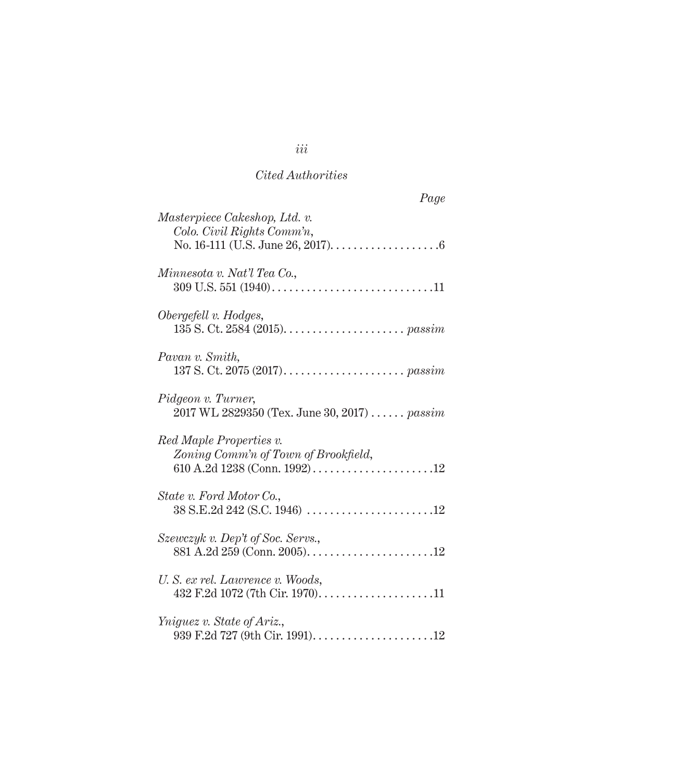## *Cited Authorities*

| Page                                                                |
|---------------------------------------------------------------------|
| Masterpiece Cakeshop, Ltd. v.<br>Colo. Civil Rights Comm'n,         |
| Minnesota v. Nat'l Tea Co.,                                         |
| Obergefell v. Hodges,                                               |
| Pavan v. Smith,                                                     |
| Pidgeon v. Turner,<br>2017 WL 2829350 (Tex. June 30, 2017) $passim$ |
| Red Maple Properties v.<br>Zoning Comm'n of Town of Brookfield,     |
| State v. Ford Motor Co.,                                            |
| Szewczyk v. Dep't of Soc. Servs.,                                   |
| U. S. ex rel. Lawrence v. Woods,<br>432 F.2d 1072 (7th Cir. 1970)11 |
| Yniquez v. State of Ariz.,                                          |

*iii*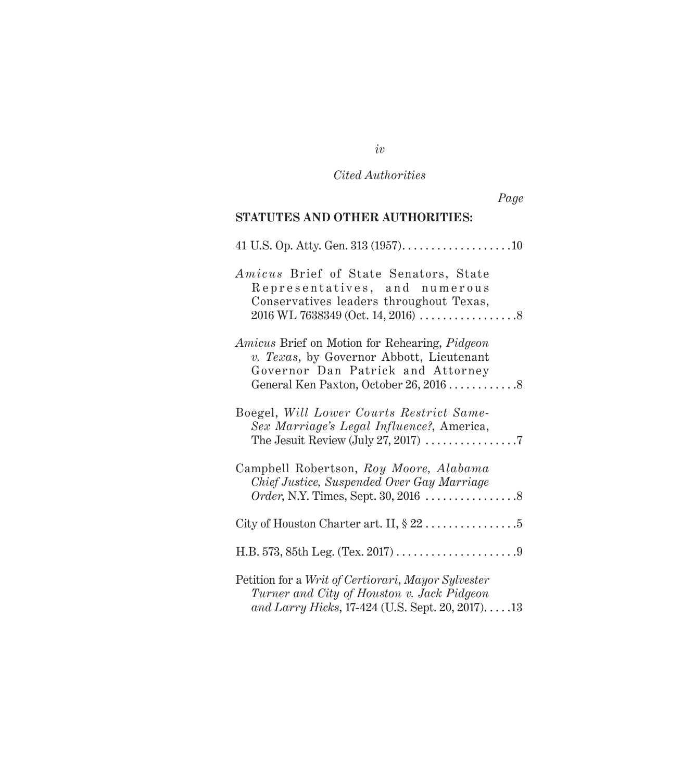# *Cited Authorities*

| Page                                                                                                                                                |  |
|-----------------------------------------------------------------------------------------------------------------------------------------------------|--|
| <b>STATUTES AND OTHER AUTHORITIES:</b>                                                                                                              |  |
|                                                                                                                                                     |  |
| Amicus Brief of State Senators, State<br>Representatives, and numerous<br>Conservatives leaders throughout Texas,                                   |  |
| <i>Amicus</i> Brief on Motion for Rehearing, <i>Pidgeon</i><br>v. Texas, by Governor Abbott, Lieutenant<br>Governor Dan Patrick and Attorney        |  |
| Boegel, Will Lower Courts Restrict Same-<br>Sex Marriage's Legal Influence?, America,                                                               |  |
| Campbell Robertson, Roy Moore, Alabama<br>Chief Justice, Suspended Over Gay Marriage                                                                |  |
|                                                                                                                                                     |  |
|                                                                                                                                                     |  |
| Petition for a Writ of Certiorari, Mayor Sylvester<br>Turner and City of Houston v. Jack Pidgeon<br>and Larry Hicks, 17-424 (U.S. Sept. 20, 2017)13 |  |

*iv*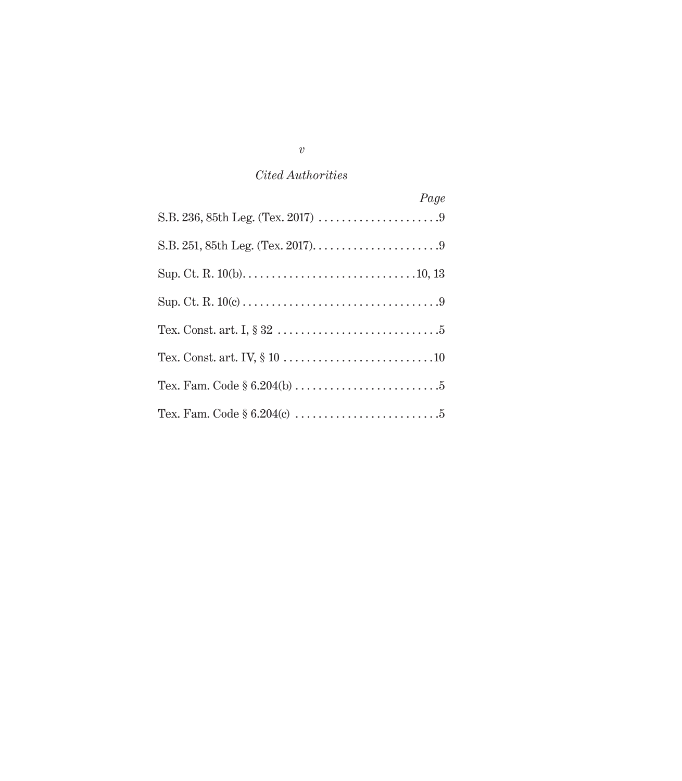# *Cited Authorities*

| Page |
|------|
|      |
|      |
|      |
|      |
|      |
|      |
|      |
|      |

*v*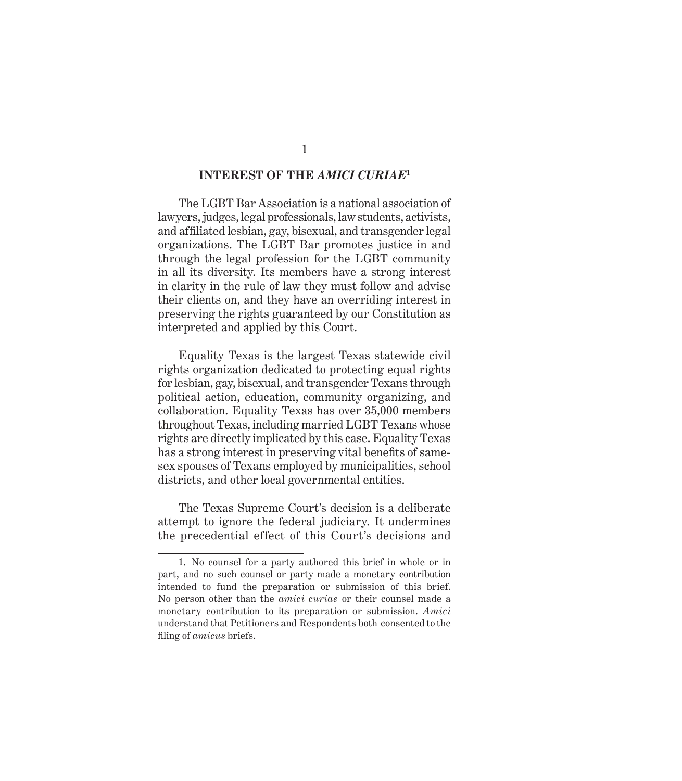#### **INTEREST OF THE** *AMICI CURIAE***<sup>1</sup>**

<span id="page-6-0"></span>The LGBT Bar Association is a national association of lawyers, judges, legal professionals, law students, activists, and affiliated lesbian, gay, bisexual, and transgender legal organizations. The LGBT Bar promotes justice in and through the legal profession for the LGBT community in all its diversity. Its members have a strong interest in clarity in the rule of law they must follow and advise their clients on, and they have an overriding interest in preserving the rights guaranteed by our Constitution as interpreted and applied by this Court.

Equality Texas is the largest Texas statewide civil rights organization dedicated to protecting equal rights for lesbian, gay, bisexual, and transgender Texans through political action, education, community organizing, and collaboration. Equality Texas has over 35,000 members throughout Texas, including married LGBT Texans whose rights are directly implicated by this case. Equality Texas has a strong interest in preserving vital benefits of samesex spouses of Texans employed by municipalities, school districts, and other local governmental entities.

The Texas Supreme Court's decision is a deliberate attempt to ignore the federal judiciary. It undermines the precedential effect of this Court's decisions and

<sup>1.</sup> No counsel for a party authored this brief in whole or in part, and no such counsel or party made a monetary contribution intended to fund the preparation or submission of this brief. No person other than the *amici curiae* or their counsel made a monetary contribution to its preparation or submission. *Amici* understand that Petitioners and Respondents both consented to the filing of *amicus* briefs.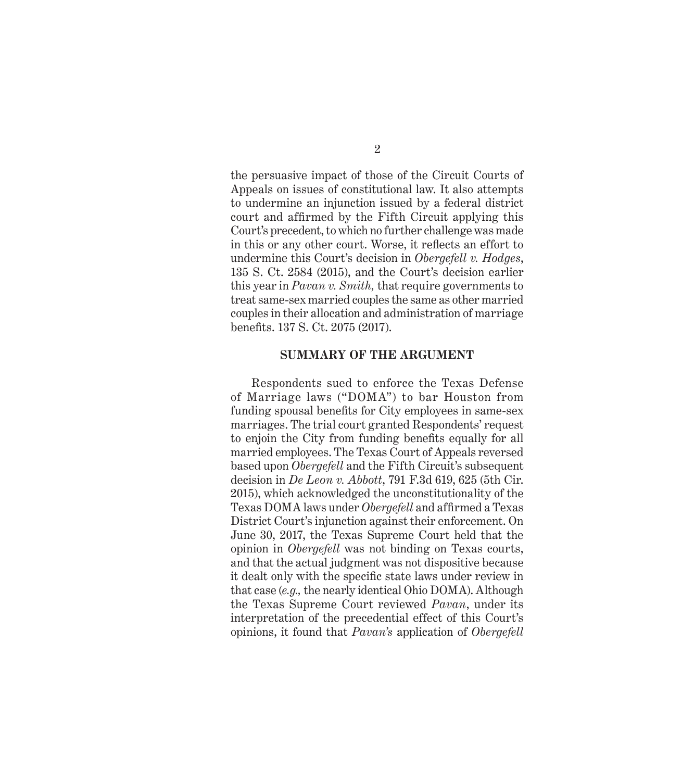<span id="page-7-0"></span>the persuasive impact of those of the Circuit Courts of Appeals on issues of constitutional law. It also attempts to undermine an injunction issued by a federal district court and affirmed by the Fifth Circuit applying this Court's precedent, to which no further challenge was made in this or any other court. Worse, it reflects an effort to undermine this Court's decision in *Obergefell v. Hodges*, 135 S. Ct. 2584 (2015), and the Court's decision earlier this year in *Pavan v. Smith,* that require governments to treat same-sex married couples the same as other married couples in their allocation and administration of marriage benefits. 137 S. Ct. 2075 (2017).

#### **SUMMARY OF THE ARGUMENT**

Respondents sued to enforce the Texas Defense of Marriage laws ("DOMA") to bar Houston from funding spousal benefits for City employees in same-sex marriages. The trial court granted Respondents' request to enjoin the City from funding benefits equally for all married employees. The Texas Court of Appeals reversed based upon *Obergefell* and the Fifth Circuit's subsequent decision in *De Leon v. Abbott*, 791 F.3d 619, 625 (5th Cir. 2015), which acknowledged the unconstitutionality of the Texas DOMA laws under *Obergefell* and affirmed a Texas District Court's injunction against their enforcement. On June 30, 2017, the Texas Supreme Court held that the opinion in *Obergefell* was not binding on Texas courts, and that the actual judgment was not dispositive because it dealt only with the specific state laws under review in that case (*e.g.,* the nearly identical Ohio DOMA). Although the Texas Supreme Court reviewed *Pavan*, under its interpretation of the precedential effect of this Court's opinions, it found that *Pavan's* application of *Obergefell*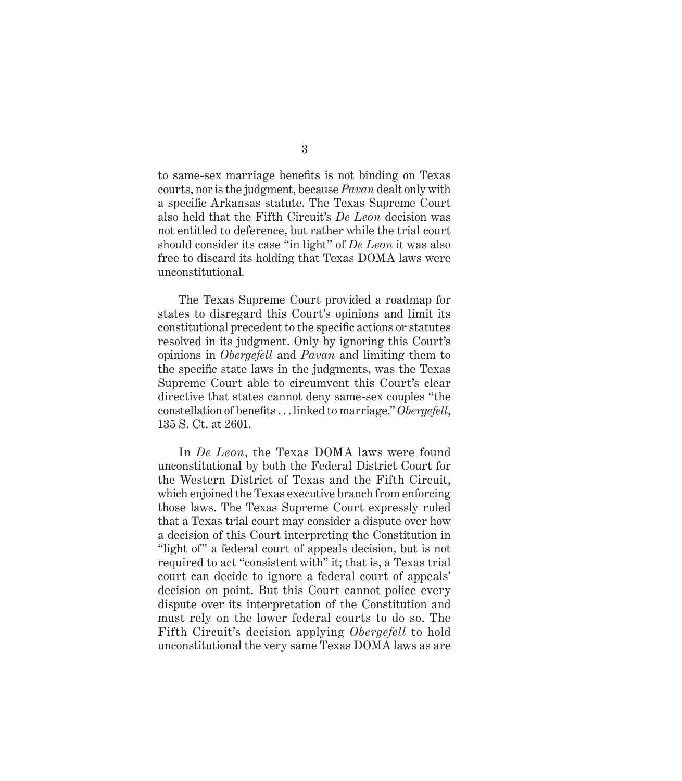to same-sex marriage benefits is not binding on Texas courts, nor is the judgment, because *Pavan* dealt only with a specific Arkansas statute. The Texas Supreme Court also held that the Fifth Circuit's *De Leon* decision was not entitled to deference, but rather while the trial court should consider its case "in light" of *De Leon* it was also free to discard its holding that Texas DOMA laws were unconstitutional*.*

The Texas Supreme Court provided a roadmap for states to disregard this Court's opinions and limit its constitutional precedent to the specific actions or statutes resolved in its judgment. Only by ignoring this Court's opinions in *Obergefell* and *Pavan* and limiting them to the specific state laws in the judgments, was the Texas Supreme Court able to circumvent this Court's clear directive that states cannot deny same-sex couples "the constellation of benefits . . . linked to marriage." *Obergefell*, 135 S. Ct. at 2601.

In *De Leon*, the Texas DOMA laws were found unconstitutional by both the Federal District Court for the Western District of Texas and the Fifth Circuit, which enjoined the Texas executive branch from enforcing those laws. The Texas Supreme Court expressly ruled that a Texas trial court may consider a dispute over how a decision of this Court interpreting the Constitution in "light of" a federal court of appeals decision, but is not required to act "consistent with" it; that is, a Texas trial court can decide to ignore a federal court of appeals' decision on point. But this Court cannot police every dispute over its interpretation of the Constitution and must rely on the lower federal courts to do so. The Fifth Circuit's decision applying *Obergefell* to hold unconstitutional the very same Texas DOMA laws as are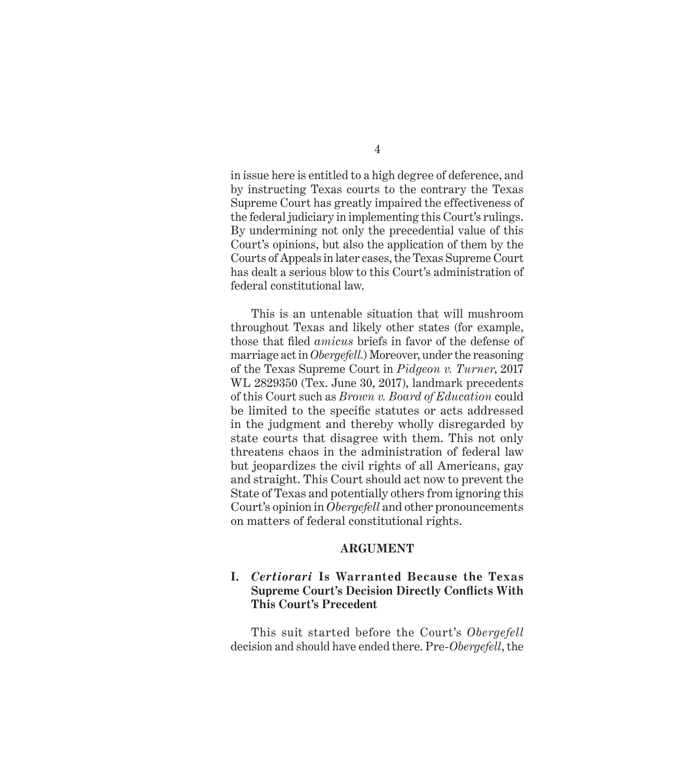<span id="page-9-0"></span>in issue here is entitled to a high degree of deference, and by instructing Texas courts to the contrary the Texas Supreme Court has greatly impaired the effectiveness of the federal judiciary in implementing this Court's rulings. By undermining not only the precedential value of this Court's opinions, but also the application of them by the Courts of Appeals in later cases, the Texas Supreme Court has dealt a serious blow to this Court's administration of federal constitutional law.

This is an untenable situation that will mushroom throughout Texas and likely other states (for example, those that filed *amicus* briefs in favor of the defense of marriage act in *Obergefell.*) Moreover, under the reasoning of the Texas Supreme Court in *Pidgeon v. Turner*, 2017 WL 2829350 (Tex. June 30, 2017), landmark precedents of this Court such as *Brown v. Board of Education* could be limited to the specific statutes or acts addressed in the judgment and thereby wholly disregarded by state courts that disagree with them. This not only threatens chaos in the administration of federal law but jeopardizes the civil rights of all Americans, gay and straight. This Court should act now to prevent the State of Texas and potentially others from ignoring this Court's opinion in *Obergefell* and other pronouncements on matters of federal constitutional rights.

#### **ARGUMENT**

## **I.** *Certiorari* **Is Warranted Because the Texas Supreme Court's Decision Directly Conflicts With This Court's Precedent**

This suit started before the Court's *Obergefell* decision and should have ended there. Pre-*Obergefell*, the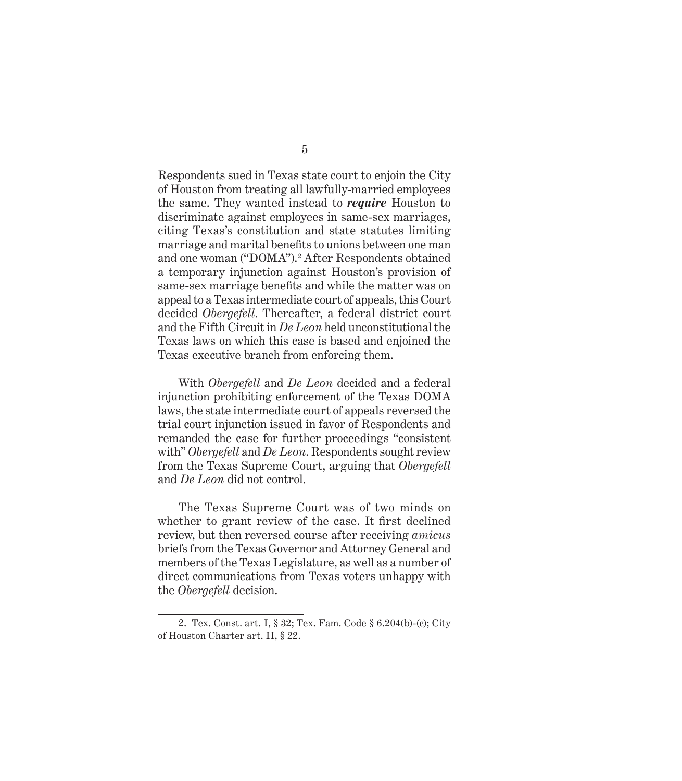Respondents sued in Texas state court to enjoin the City of Houston from treating all lawfully-married employees the same. They wanted instead to *require* Houston to discriminate against employees in same-sex marriages, citing Texas's constitution and state statutes limiting marriage and marital benefits to unions between one man and one woman ("DOMA").<sup>2</sup> After Respondents obtained a temporary injunction against Houston's provision of same-sex marriage benefits and while the matter was on appeal to a Texas intermediate court of appeals, this Court decided *Obergefell*. Thereafter, a federal district court and the Fifth Circuit in *De Leon* held unconstitutional the Texas laws on which this case is based and enjoined the Texas executive branch from enforcing them.

With *Obergefell* and *De Leon* decided and a federal injunction prohibiting enforcement of the Texas DOMA laws, the state intermediate court of appeals reversed the trial court injunction issued in favor of Respondents and remanded the case for further proceedings "consistent with" *Obergefell* and *De Leon*. Respondents sought review from the Texas Supreme Court, arguing that *Obergefell* and *De Leon* did not control.

The Texas Supreme Court was of two minds on whether to grant review of the case. It first declined review, but then reversed course after receiving *amicus* briefs from the Texas Governor and Attorney General and members of the Texas Legislature, as well as a number of direct communications from Texas voters unhappy with the *Obergefell* decision.

<sup>2.</sup> Tex. Const. art. I, § 32; Tex. Fam. Code § 6.204(b)-(c); City of Houston Charter art. II, § 22.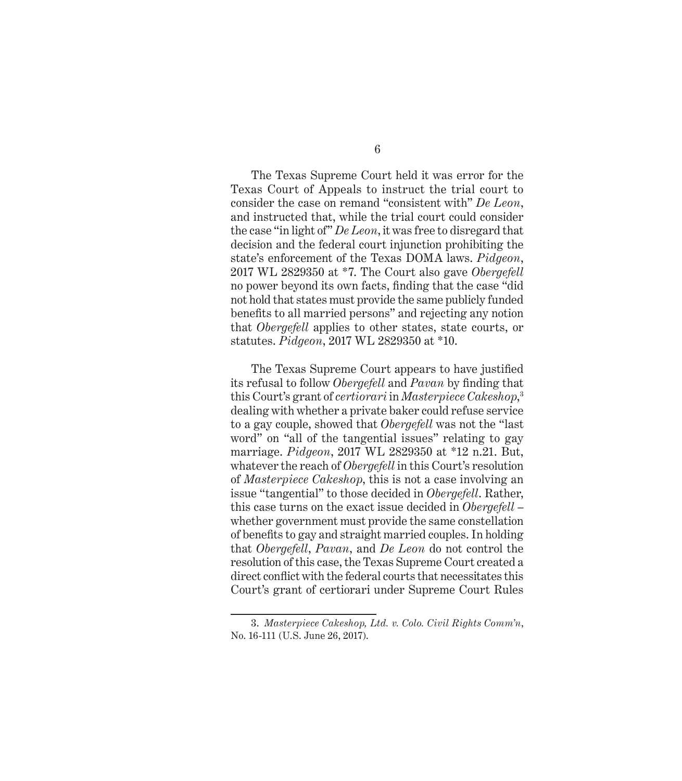The Texas Supreme Court held it was error for the Texas Court of Appeals to instruct the trial court to consider the case on remand "consistent with" *De Leon*, and instructed that, while the trial court could consider the case "in light of" *De Leon*, it was free to disregard that decision and the federal court injunction prohibiting the state's enforcement of the Texas DOMA laws. *Pidgeon*, 2017 WL 2829350 at \*7. The Court also gave *Obergefell* no power beyond its own facts, finding that the case "did not hold that states must provide the same publicly funded benefits to all married persons" and rejecting any notion that *Obergefell* applies to other states, state courts, or statutes. *Pidgeon*, 2017 WL 2829350 at \*10.

The Texas Supreme Court appears to have justified its refusal to follow *Obergefell* and *Pavan* by finding that this Court's grant of *certiorari* in *Masterpiece Cakeshop*, 3 dealing with whether a private baker could refuse service to a gay couple, showed that *Obergefell* was not the "last word" on "all of the tangential issues" relating to gay marriage. *Pidgeon*, 2017 WL 2829350 at \*12 n.21. But, whatever the reach of *Obergefell* in this Court's resolution of *Masterpiece Cakeshop*, this is not a case involving an issue "tangential" to those decided in *Obergefell*. Rather, this case turns on the exact issue decided in *Obergefell* – whether government must provide the same constellation of benefits to gay and straight married couples. In holding that *Obergefell*, *Pavan*, and *De Leon* do not control the resolution of this case, the Texas Supreme Court created a direct conflict with the federal courts that necessitates this Court's grant of certiorari under Supreme Court Rules

<sup>3.</sup> *Masterpiece Cakeshop, Ltd. v. Colo. Civil Rights Comm'n*, No. 16-111 (U.S. June 26, 2017).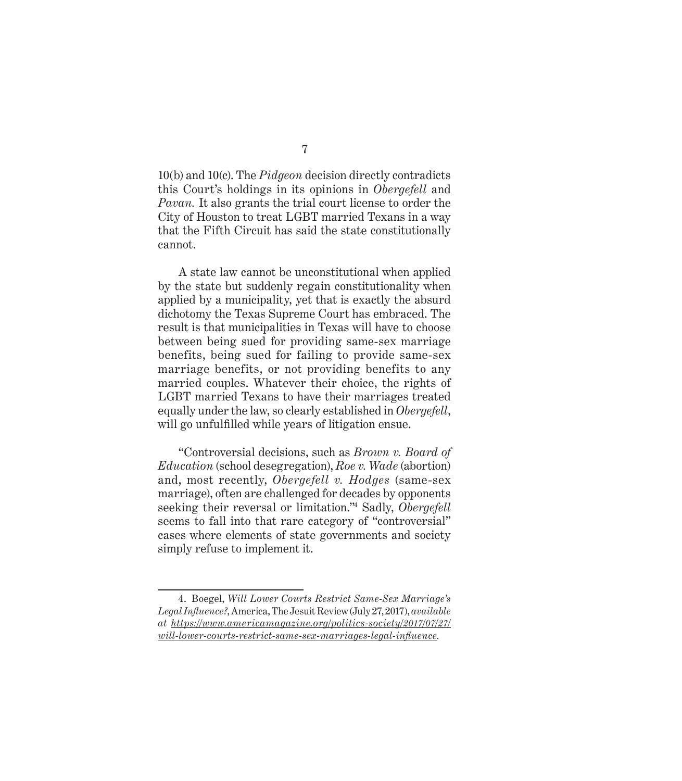10(b) and 10(c). The *Pidgeon* decision directly contradicts this Court's holdings in its opinions in *Obergefell* and *Pavan.* It also grants the trial court license to order the City of Houston to treat LGBT married Texans in a way that the Fifth Circuit has said the state constitutionally cannot.

A state law cannot be unconstitutional when applied by the state but suddenly regain constitutionality when applied by a municipality, yet that is exactly the absurd dichotomy the Texas Supreme Court has embraced. The result is that municipalities in Texas will have to choose between being sued for providing same-sex marriage benefits, being sued for failing to provide same-sex marriage benefits, or not providing benefits to any married couples. Whatever their choice, the rights of LGBT married Texans to have their marriages treated equally under the law, so clearly established in *Obergefell*, will go unfulfilled while years of litigation ensue.

"Controversial decisions, such as *Brown v. Board of Education* (school desegregation), *Roe v. Wade* (abortion) and, most recently, *Obergefell v. Hodges* (same-sex marriage), often are challenged for decades by opponents seeking their reversal or limitation."<sup>4</sup> Sadly, *Obergefell* seems to fall into that rare category of "controversial" cases where elements of state governments and society simply refuse to implement it.

### 7

<sup>4.</sup> Boegel, *Will Lower Courts Restrict Same-Sex Marriage's Legal Influence?*, America, The Jesuit Review (July 27, 2017), *available at [https://www.americamagazine.org/politics-society/2017/07/27/](https://www.americamagazine.org/politics-society/2017/07/27/will-lower-courts-restrict-same-sex-marriages-legal-influence) [will-lower-courts-restrict-same-sex-marriages-legal-influence](https://www.americamagazine.org/politics-society/2017/07/27/will-lower-courts-restrict-same-sex-marriages-legal-influence).*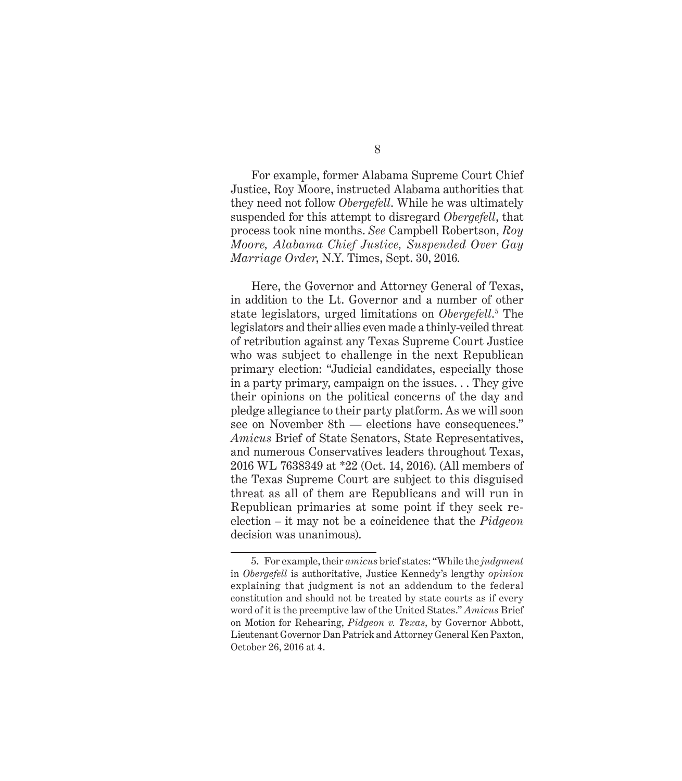For example, former Alabama Supreme Court Chief Justice, Roy Moore, instructed Alabama authorities that they need not follow *Obergefell*. While he was ultimately suspended for this attempt to disregard *Obergefell*, that process took nine months. *See* Campbell Robertson, *Roy Moore, Alabama Chief Justice, Suspended Over Gay Marriage Order*, N.Y. Times, Sept. 30, 2016*.*

Here, the Governor and Attorney General of Texas, in addition to the Lt. Governor and a number of other state legislators, urged limitations on *Obergefell*.<sup>5</sup> The legislators and their allies even made a thinly-veiled threat of retribution against any Texas Supreme Court Justice who was subject to challenge in the next Republican primary election: "Judicial candidates, especially those in a party primary, campaign on the issues. . . They give their opinions on the political concerns of the day and pledge allegiance to their party platform. As we will soon see on November 8th — elections have consequences." *Amicus* Brief of State Senators, State Representatives, and numerous Conservatives leaders throughout Texas, 2016 WL 7638349 at \*22 (Oct. 14, 2016). (All members of the Texas Supreme Court are subject to this disguised threat as all of them are Republicans and will run in Republican primaries at some point if they seek reelection – it may not be a coincidence that the *Pidgeon* decision was unanimous).

<sup>5.</sup> For example, their *amicus* brief states: "While the *judgment* in *Obergefell* is authoritative, Justice Kennedy's lengthy *opinion* explaining that judgment is not an addendum to the federal constitution and should not be treated by state courts as if every word of it is the preemptive law of the United States." *Amicus* Brief on Motion for Rehearing, *Pidgeon v. Texas*, by Governor Abbott, Lieutenant Governor Dan Patrick and Attorney General Ken Paxton, October 26, 2016 at 4.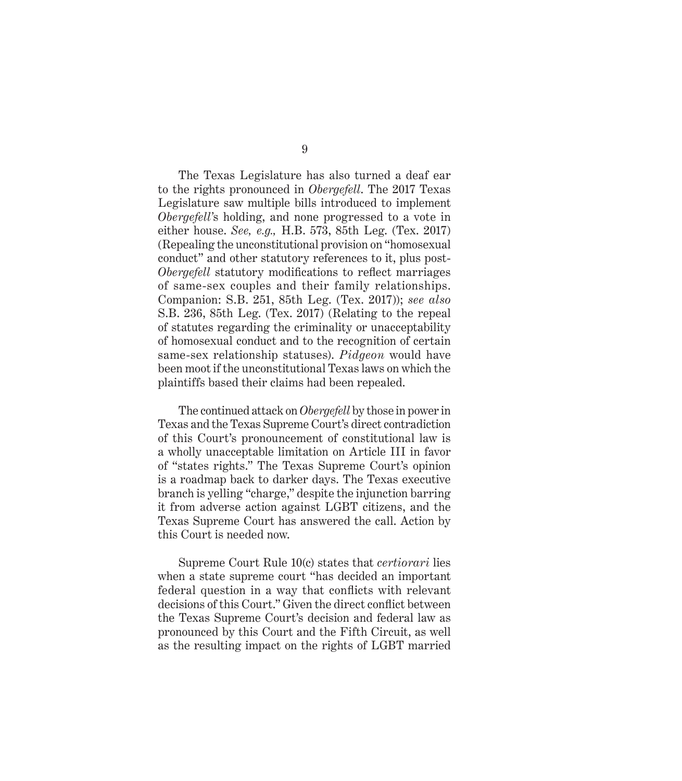The Texas Legislature has also turned a deaf ear to the rights pronounced in *Obergefell*. The 2017 Texas Legislature saw multiple bills introduced to implement *Obergefell'*s holding, and none progressed to a vote in either house. *See, e.g.,* H.B. 573, 85th Leg. (Tex. 2017) (Repealing the unconstitutional provision on "homosexual conduct" and other statutory references to it, plus post-*Obergefell* statutory modifications to reflect marriages of same-sex couples and their family relationships. Companion: S.B. 251, 85th Leg. (Tex. 2017)); *see also* S.B. 236, 85th Leg. (Tex. 2017) (Relating to the repeal of statutes regarding the criminality or unacceptability of homosexual conduct and to the recognition of certain same-sex relationship statuses). *Pidgeon* would have been moot if the unconstitutional Texas laws on which the plaintiffs based their claims had been repealed.

The continued attack on *Obergefell* by those in power in Texas and the Texas Supreme Court's direct contradiction of this Court's pronouncement of constitutional law is a wholly unacceptable limitation on Article III in favor of "states rights." The Texas Supreme Court's opinion is a roadmap back to darker days. The Texas executive branch is yelling "charge," despite the injunction barring it from adverse action against LGBT citizens, and the Texas Supreme Court has answered the call. Action by this Court is needed now.

Supreme Court Rule 10(c) states that *certiorari* lies when a state supreme court "has decided an important federal question in a way that conflicts with relevant decisions of this Court." Given the direct conflict between the Texas Supreme Court's decision and federal law as pronounced by this Court and the Fifth Circuit, as well as the resulting impact on the rights of LGBT married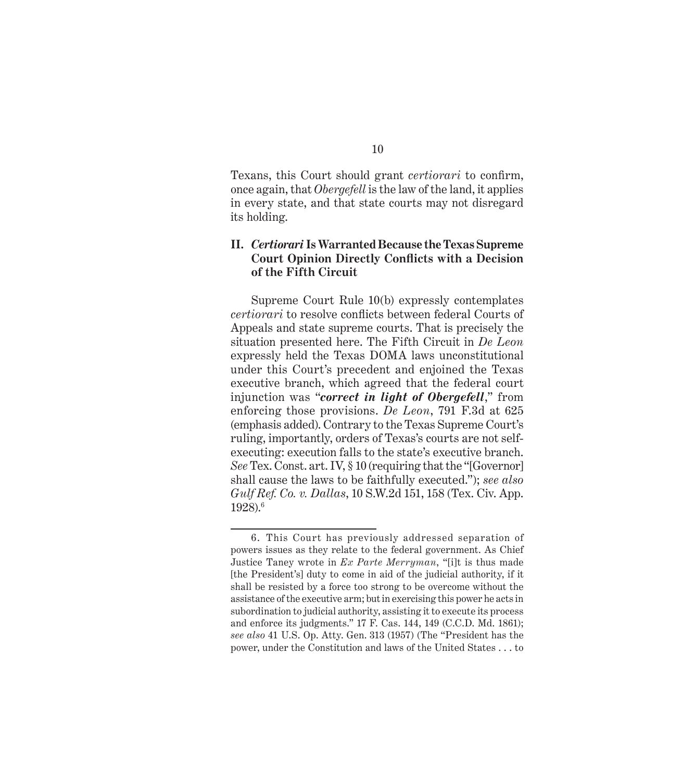<span id="page-15-0"></span>Texans, this Court should grant *certiorari* to confirm, once again, that *Obergefell* is the law of the land, it applies in every state, and that state courts may not disregard its holding.

## **II.** *Certiorari* **Is Warranted Because the Texas Supreme Court Opinion Directly Conflicts with a Decision of the Fifth Circuit**

Supreme Court Rule 10(b) expressly contemplates *certiorari* to resolve conflicts between federal Courts of Appeals and state supreme courts. That is precisely the situation presented here. The Fifth Circuit in *De Leon*  expressly held the Texas DOMA laws unconstitutional under this Court's precedent and enjoined the Texas executive branch, which agreed that the federal court injunction was "*correct in light of Obergefell*," from enforcing those provisions. *De Leon*, 791 F.3d at 625 (emphasis added). Contrary to the Texas Supreme Court's ruling, importantly, orders of Texas's courts are not selfexecuting: execution falls to the state's executive branch. *See* Tex. Const. art. IV, § 10 (requiring that the "[Governor] shall cause the laws to be faithfully executed."); *see also Gulf Ref. Co. v. Dallas*, 10 S.W.2d 151, 158 (Tex. Civ. App. 1928).6

<sup>6.</sup> This Court has previously addressed separation of powers issues as they relate to the federal government. As Chief Justice Taney wrote in *Ex Parte Merryman*, "[i]t is thus made [the President's] duty to come in aid of the judicial authority, if it shall be resisted by a force too strong to be overcome without the assistance of the executive arm; but in exercising this power he acts in subordination to judicial authority, assisting it to execute its process and enforce its judgments." 17 F. Cas. 144, 149 (C.C.D. Md. 1861); *see also* 41 U.S. Op. Atty. Gen. 313 (1957) (The "President has the power, under the Constitution and laws of the United States . . . to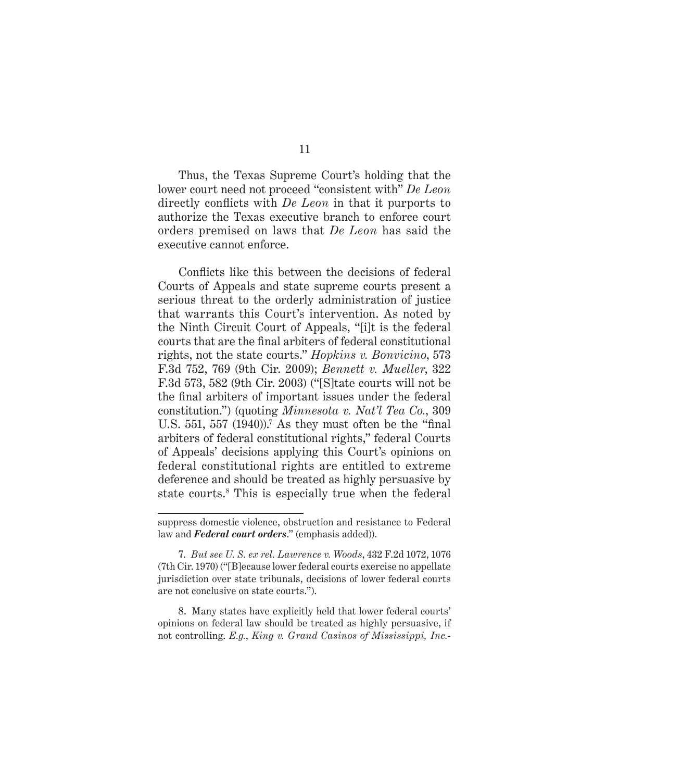Thus, the Texas Supreme Court's holding that the lower court need not proceed "consistent with" *De Leon* directly conflicts with *De Leon* in that it purports to authorize the Texas executive branch to enforce court orders premised on laws that *De Leon* has said the executive cannot enforce.

Conflicts like this between the decisions of federal Courts of Appeals and state supreme courts present a serious threat to the orderly administration of justice that warrants this Court's intervention. As noted by the Ninth Circuit Court of Appeals, "[i]t is the federal courts that are the final arbiters of federal constitutional rights, not the state courts." *Hopkins v. Bonvicino*, 573 F.3d 752, 769 (9th Cir. 2009); *Bennett v. Mueller*, 322 F.3d 573, 582 (9th Cir. 2003) ("[S]tate courts will not be the final arbiters of important issues under the federal constitution.") (quoting *Minnesota v. Nat'l Tea Co.*, 309 U.S.  $551$ ,  $557$   $(1940)$ .<sup>7</sup> As they must often be the "final" arbiters of federal constitutional rights," federal Courts of Appeals' decisions applying this Court's opinions on federal constitutional rights are entitled to extreme deference and should be treated as highly persuasive by state courts.8 This is especially true when the federal

8. Many states have explicitly held that lower federal courts' opinions on federal law should be treated as highly persuasive, if not controlling. *E.g.*, *King v. Grand Casinos of Mississippi, Inc.-*

suppress domestic violence, obstruction and resistance to Federal law and *Federal court orders*." (emphasis added)).

<sup>7.</sup> *But see U. S. ex rel. Lawrence v. Woods*, 432 F.2d 1072, 1076 (7th Cir. 1970) ("[B]ecause lower federal courts exercise no appellate jurisdiction over state tribunals, decisions of lower federal courts are not conclusive on state courts.").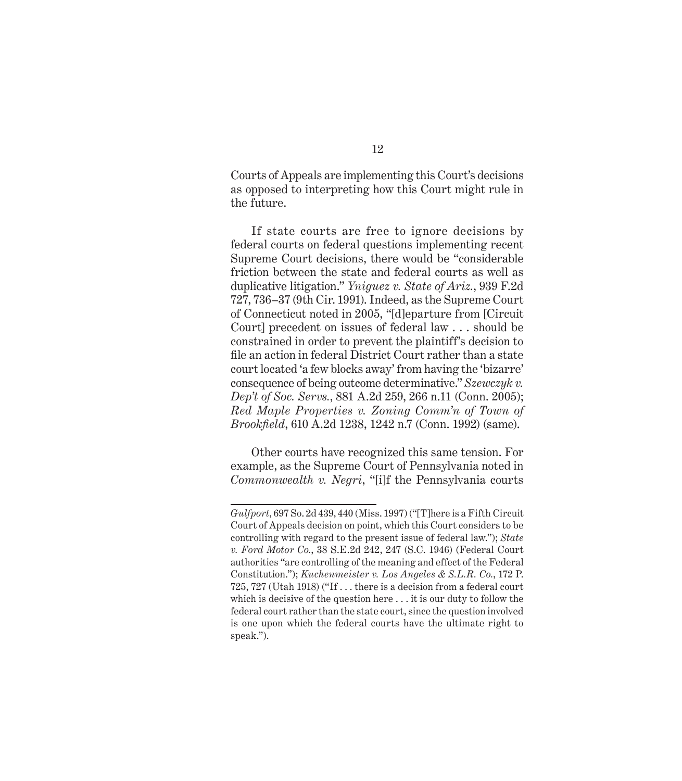Courts of Appeals are implementing this Court's decisions as opposed to interpreting how this Court might rule in the future.

If state courts are free to ignore decisions by federal courts on federal questions implementing recent Supreme Court decisions, there would be "considerable friction between the state and federal courts as well as duplicative litigation." *Yniguez v. State of Ariz.*, 939 F.2d 727, 736–37 (9th Cir. 1991). Indeed, as the Supreme Court of Connecticut noted in 2005, "[d]eparture from [Circuit Court] precedent on issues of federal law . . . should be constrained in order to prevent the plaintiff's decision to file an action in federal District Court rather than a state court located 'a few blocks away' from having the 'bizarre' consequence of being outcome determinative." *Szewczyk v. Dep't of Soc. Servs.*, 881 A.2d 259, 266 n.11 (Conn. 2005); *Red Maple Properties v. Zoning Comm'n of Town of Brookfield*, 610 A.2d 1238, 1242 n.7 (Conn. 1992) (same).

Other courts have recognized this same tension. For example, as the Supreme Court of Pennsylvania noted in *Commonwealth v. Negri*, "[i]f the Pennsylvania courts

*Gulfport*, 697 So. 2d 439, 440 (Miss. 1997) ("[T]here is a Fifth Circuit Court of Appeals decision on point, which this Court considers to be controlling with regard to the present issue of federal law."); *State v. Ford Motor Co.*, 38 S.E.2d 242, 247 (S.C. 1946) (Federal Court authorities "are controlling of the meaning and effect of the Federal Constitution."); *Kuchenmeister v. Los Angeles & S.L.R. Co.*, 172 P. 725, 727 (Utah 1918) ("If . . . there is a decision from a federal court which is decisive of the question here . . . it is our duty to follow the federal court rather than the state court, since the question involved is one upon which the federal courts have the ultimate right to speak.").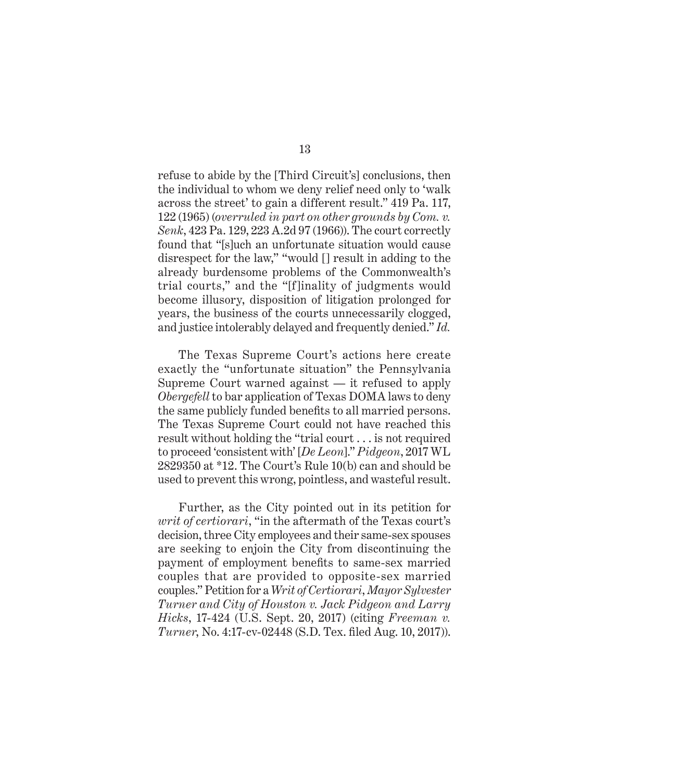refuse to abide by the [Third Circuit's] conclusions, then the individual to whom we deny relief need only to 'walk across the street' to gain a different result." 419 Pa. 117, 122 (1965) (*overruled in part on other grounds by Com. v. Senk*, 423 Pa. 129, 223 A.2d 97 (1966)). The court correctly found that "[s]uch an unfortunate situation would cause disrespect for the law," "would [] result in adding to the already burdensome problems of the Commonwealth's trial courts," and the "[f]inality of judgments would become illusory, disposition of litigation prolonged for years, the business of the courts unnecessarily clogged, and justice intolerably delayed and frequently denied." *Id.*

The Texas Supreme Court's actions here create exactly the "unfortunate situation" the Pennsylvania Supreme Court warned against — it refused to apply *Obergefell* to bar application of Texas DOMA laws to deny the same publicly funded benefits to all married persons. The Texas Supreme Court could not have reached this result without holding the "trial court . . . is not required to proceed 'consistent with' [*De Leon*]." *Pidgeon*, 2017 WL 2829350 at \*12. The Court's Rule 10(b) can and should be used to prevent this wrong, pointless, and wasteful result.

Further, as the City pointed out in its petition for *writ of certiorari*, "in the aftermath of the Texas court's decision, three City employees and their same-sex spouses are seeking to enjoin the City from discontinuing the payment of employment benefits to same-sex married couples that are provided to opposite-sex married couples." Petition for a *Writ of Certiorari*, *Mayor Sylvester Turner and City of Houston v. Jack Pidgeon and Larry Hicks*, 17-424 (U.S. Sept. 20, 2017) (citing *Freeman v. Turner*, No. 4:17-cv-02448 (S.D. Tex. filed Aug. 10, 2017)).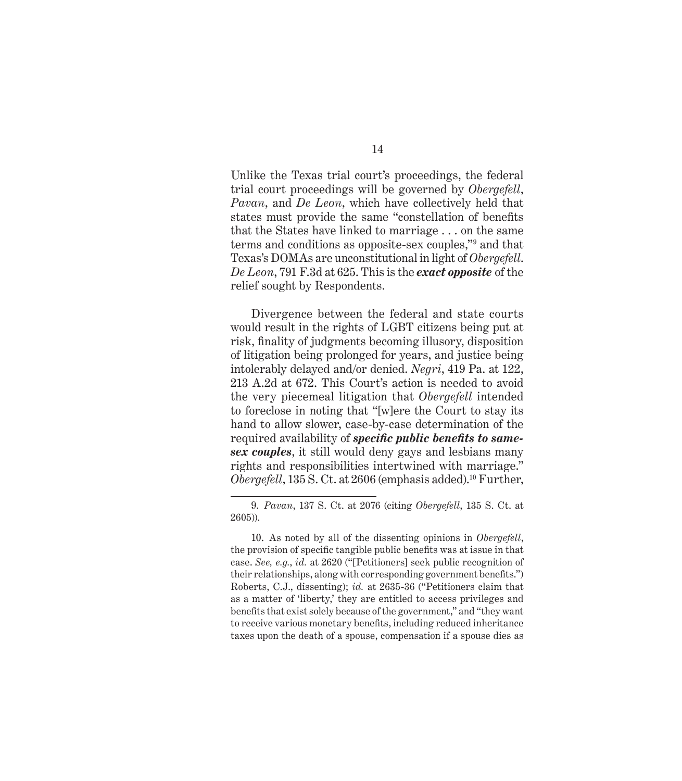Unlike the Texas trial court's proceedings, the federal trial court proceedings will be governed by *Obergefell*, *Pavan*, and *De Leon*, which have collectively held that states must provide the same "constellation of benefits that the States have linked to marriage . . . on the same terms and conditions as opposite-sex couples,"9 and that Texas's DOMAs are unconstitutional in light of *Obergefell*. *De Leon*, 791 F.3d at 625. This is the *exact opposite* of the relief sought by Respondents.

Divergence between the federal and state courts would result in the rights of LGBT citizens being put at risk, finality of judgments becoming illusory, disposition of litigation being prolonged for years, and justice being intolerably delayed and/or denied. *Negri*, 419 Pa. at 122, 213 A.2d at 672. This Court's action is needed to avoid the very piecemeal litigation that *Obergefell* intended to foreclose in noting that "[w]ere the Court to stay its hand to allow slower, case-by-case determination of the required availability of *specific public benefits to samesex couples*, it still would deny gays and lesbians many rights and responsibilities intertwined with marriage." *Obergefell*, 135 S. Ct. at 2606 (emphasis added).<sup>10</sup> Further,

<sup>9.</sup> *Pavan*, 137 S. Ct. at 2076 (citing *Obergefell*, 135 S. Ct. at 2605)).

<sup>10.</sup> As noted by all of the dissenting opinions in *Obergefell*, the provision of specific tangible public benefits was at issue in that case. *See, e.g.*, *id.* at 2620 ("[Petitioners] seek public recognition of their relationships, along with corresponding government benefits.") Roberts, C.J., dissenting); *id.* at 2635-36 ("Petitioners claim that as a matter of 'liberty,' they are entitled to access privileges and benefits that exist solely because of the government," and "they want to receive various monetary benefits, including reduced inheritance taxes upon the death of a spouse, compensation if a spouse dies as